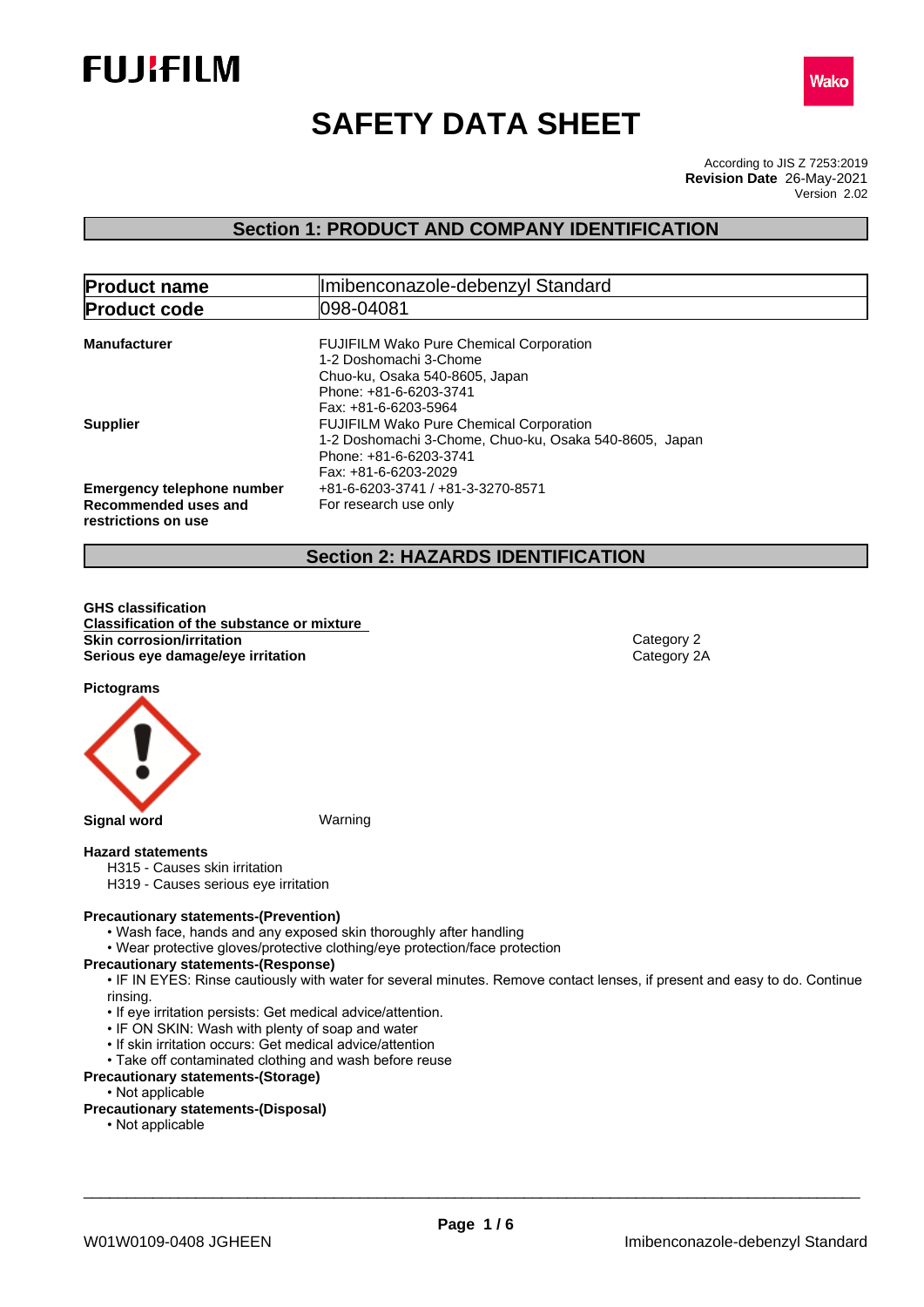



# **SAFETY DATA SHEET**

According to JIS Z 7253:2019 Version 2.02 **Revision Date** 26-May-2021

# **Section 1: PRODUCT AND COMPANY IDENTIFICATION**

| <b>Product name</b>                                                              | Imibenconazole-debenzyl Standard                                                                                                                             |  |
|----------------------------------------------------------------------------------|--------------------------------------------------------------------------------------------------------------------------------------------------------------|--|
| <b>Product code</b>                                                              | 1098-04081                                                                                                                                                   |  |
| <b>Manufacturer</b>                                                              | <b>FUJIFILM Wako Pure Chemical Corporation</b><br>1-2 Doshomachi 3-Chome<br>Chuo-ku, Osaka 540-8605, Japan<br>Phone: +81-6-6203-3741<br>Fax: +81-6-6203-5964 |  |
| <b>Supplier</b>                                                                  | <b>FUJIFILM Wako Pure Chemical Corporation</b><br>1-2 Doshomachi 3-Chome, Chuo-ku, Osaka 540-8605, Japan<br>Phone: +81-6-6203-3741<br>Fax: +81-6-6203-2029   |  |
| <b>Emergency telephone number</b><br>Recommended uses and<br>restrictions on use | +81-6-6203-3741 / +81-3-3270-8571<br>For research use only                                                                                                   |  |

# **Section 2: HAZARDS IDENTIFICATION**

**GHS classification Classification of the substance or mixture Skin corrosion/irritation**<br> **Serious eye damage/eye irritation**<br>
Category 2A **Serious** eye damage/eye irritation

**Pictograms**



#### **Hazard statements**

- H315 Causes skin irritation
- H319 Causes serious eye irritation

#### **Precautionary statements-(Prevention)**

- Wash face, hands and any exposed skin thoroughly after handling
- Wear protective gloves/protective clothing/eye protection/face protection

#### **Precautionary statements-(Response)**

• IF IN EYES: Rinse cautiously with water for several minutes. Remove contact lenses, if present and easy to do. Continue rinsing.

- If eye irritation persists: Get medical advice/attention.
- IF ON SKIN: Wash with plenty of soap and water
- If skin irritation occurs: Get medical advice/attention
- Take off contaminated clothing and wash before reuse

#### **Precautionary statements-(Storage)**

• Not applicable

### **Precautionary statements-(Disposal)**

• Not applicable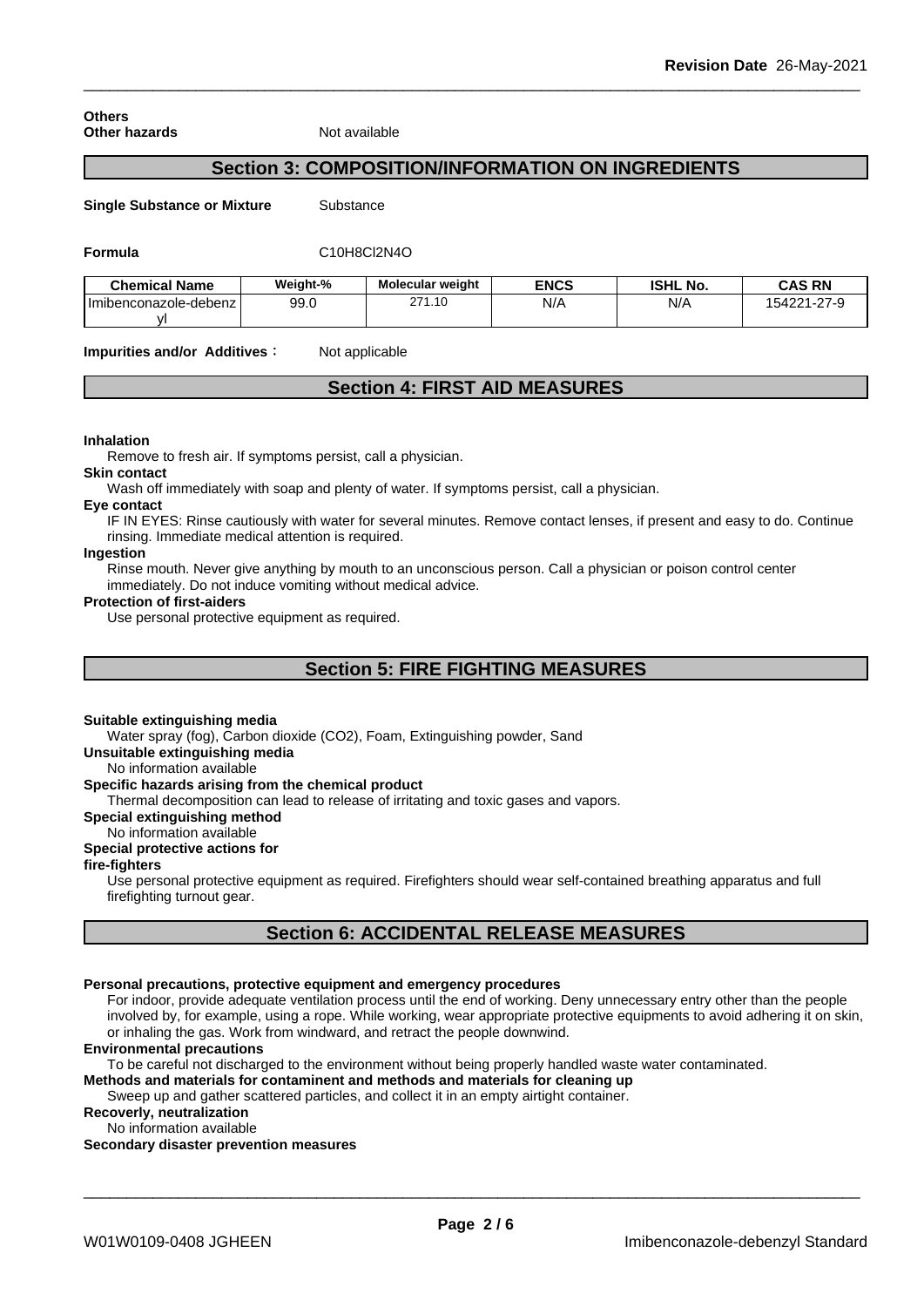#### **Others Other hazards** Not available

# **Section 3: COMPOSITION/INFORMATION ON INGREDIENTS**

**Single Substance or Mixture** Substance

#### **Formula** C10H8Cl2N4O

| <b>Chemical Name</b>      | Weight-% | <b>Molecular weight</b>             | <b>ENCS</b> | <b>ISHL No.</b> | <b>CAS RN</b>    |
|---------------------------|----------|-------------------------------------|-------------|-----------------|------------------|
| I Imibenconazole-debenz I | 99.0     | 1.10<br>$\sim$ $\sim$ $\sim$<br>، ے | N/A         | N/A             | 154221-27-9<br>- |
|                           |          |                                     |             |                 |                  |

**Impurities and/or Additives :** Not applicable

# **Section 4: FIRST AID MEASURES**

#### **Inhalation**

Remove to fresh air. If symptoms persist, call a physician.

#### **Skin contact**

Wash off immediately with soap and plenty of water. If symptoms persist, calla physician.

#### **Eye contact**

IF IN EYES: Rinse cautiously with water forseveral minutes. Remove contact lenses, if present and easy to do. Continue rinsing. Immediate medical attention is required.

#### **Ingestion**

Rinse mouth. Never give anything by mouth to an unconscious person. Call a physician or poison control center immediately. Do not induce vomiting without medical advice.

#### **Protection of first-aiders**

Use personal protective equipment as required.

# **Section 5: FIRE FIGHTING MEASURES**

#### **Suitable extinguishing media**

Water spray (fog), Carbon dioxide (CO2), Foam, Extinguishing powder, Sand

**Unsuitable extinguishing media**

No information available

#### **Specific hazards arising from the chemical product**

Thermal decomposition can lead to release of irritating and toxic gases and vapors.

**Special extinguishing method**

#### No information available

### **Special protective actions for**

**fire-fighters**

Use personal protective equipment as required.Firefighters should wear self-contained breathing apparatus and full firefighting turnout gear.

# **Section 6: ACCIDENTAL RELEASE MEASURES**

#### **Personal precautions, protective equipment and emergency procedures**

For indoor, provide adequate ventilation process until the end of working. Deny unnecessary entry other than the people involved by, for example, using a rope. While working, wear appropriate protective equipments to avoid adhering it on skin, or inhaling the gas. Work from windward, and retract the people downwind.

#### **Environmental precautions**

To be careful not discharged to the environment without being properly handled waste water contaminated.

**Methods and materials for contaminent and methods and materials for cleaning up**

Sweep up and gather scattered particles, and collect it in an empty airtight container.

**Recoverly, neutralization** No information available

**Secondary disaster prevention measures**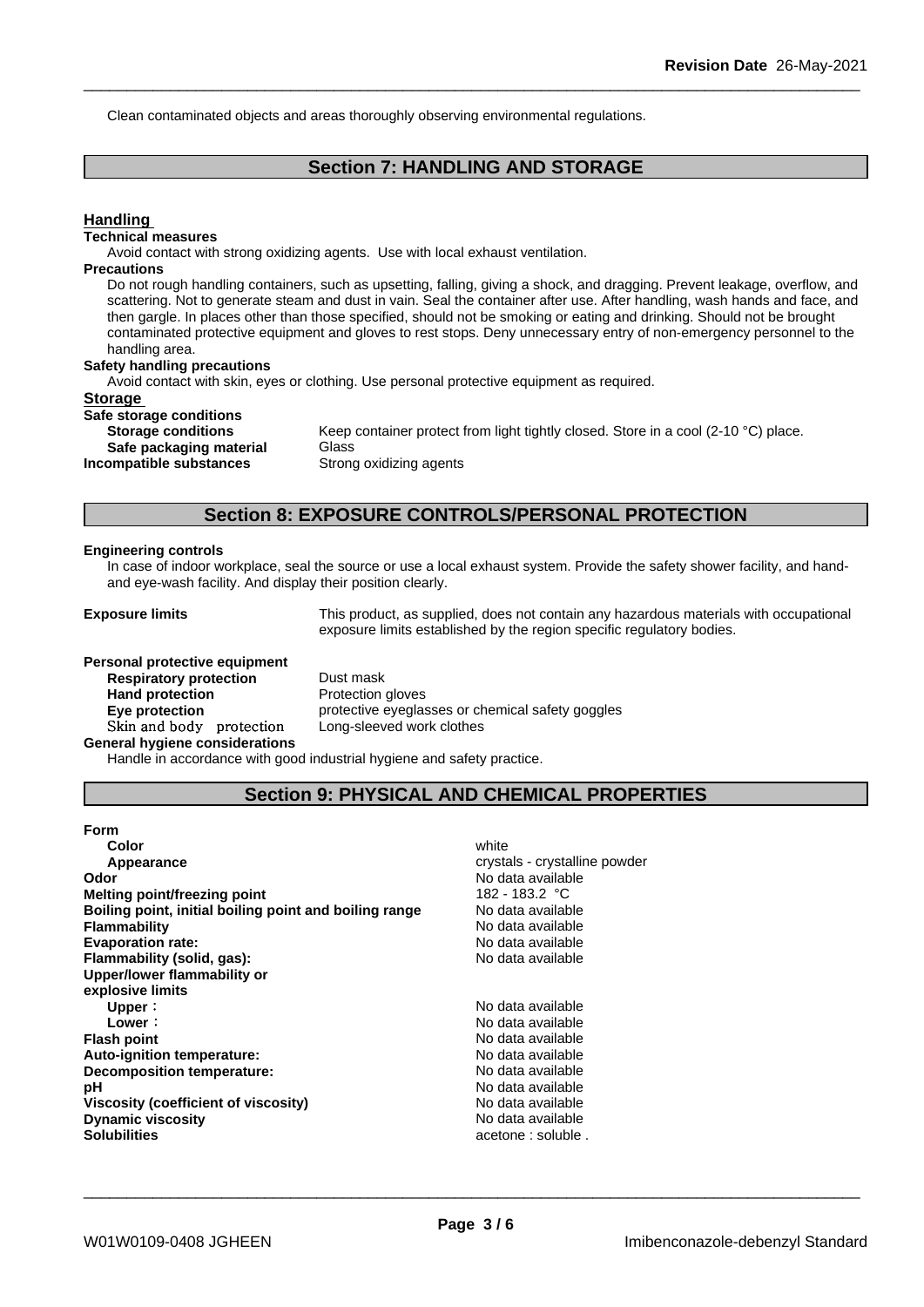Clean contaminated objects and areas thoroughly observing environmental regulations.

# **Section 7: HANDLING AND STORAGE**

### **Handling Technical measures** Avoid contact with strong oxidizing agents. Use with local exhaust ventilation. **Precautions** Do not rough handling containers, such as upsetting, falling, giving a shock, and dragging. Prevent leakage, overflow, and scattering. Not to generate steam and dust in vain. Seal the container after use. After handling, wash hands and face, and then gargle. In places other than those specified, should not be smoking or eating and drinking. Should not be brought contaminated protective equipment and gloves to rest stops. Deny unnecessary entry of non-emergency personnel to the handling area. **Safety handling precautions** Avoid contact with skin, eyes or clothing. Use personal protective equipment as required.**Storage Safe storage conditions Storage conditions** Keep container protect from light tightly closed. Store in a cool (2-10 °C) place. **Safe packaging material** Glass **Incompatible substances** Strong oxidizing agents **Section 8: EXPOSURE CONTROLS/PERSONAL PROTECTION**

#### **Engineering controls**

In case of indoor workplace, seal the source or use a local exhaust system. Provide the safety shower facility, and handand eye-wash facility. And display their position clearly.

**Exposure limits** This product, as supplied, does not contain any hazardous materials with occupational exposure limits established by the region specific regulatory bodies.

**Personal protective equipment Respiratory protection** Dust mask Hand protection **Protection** Protection gloves **Skinandbody protection** Long-sleeved work clothes **General hygiene considerations**

**Eye protection Eye protective eyeglasses or chemical safety goggles** 

Handle in accordance with good industrial hygiene and safety practice.

# **Section 9: PHYSICAL AND CHEMICAL PROPERTIES**

| <b>Form</b>                                            |                               |
|--------------------------------------------------------|-------------------------------|
| Color                                                  | white                         |
| Appearance                                             | crystals - crystalline powder |
| Odor                                                   | No data available             |
| Melting point/freezing point                           | 182 - 183.2 °C                |
| Boiling point, initial boiling point and boiling range | No data available             |
| <b>Flammability</b>                                    | No data available             |
| <b>Evaporation rate:</b>                               | No data available             |
| Flammability (solid, gas):                             | No data available             |
| Upper/lower flammability or                            |                               |
| explosive limits                                       |                               |
| Upper:                                                 | No data available             |
| Lower:                                                 | No data available             |
| <b>Flash point</b>                                     | No data available             |
| Auto-ignition temperature:                             | No data available             |
| Decomposition temperature:                             | No data available             |
| рH                                                     | No data available             |
| Viscosity (coefficient of viscosity)                   | No data available             |
| <b>Dynamic viscosity</b>                               | No data available             |
| <b>Solubilities</b>                                    | acetone : soluble.            |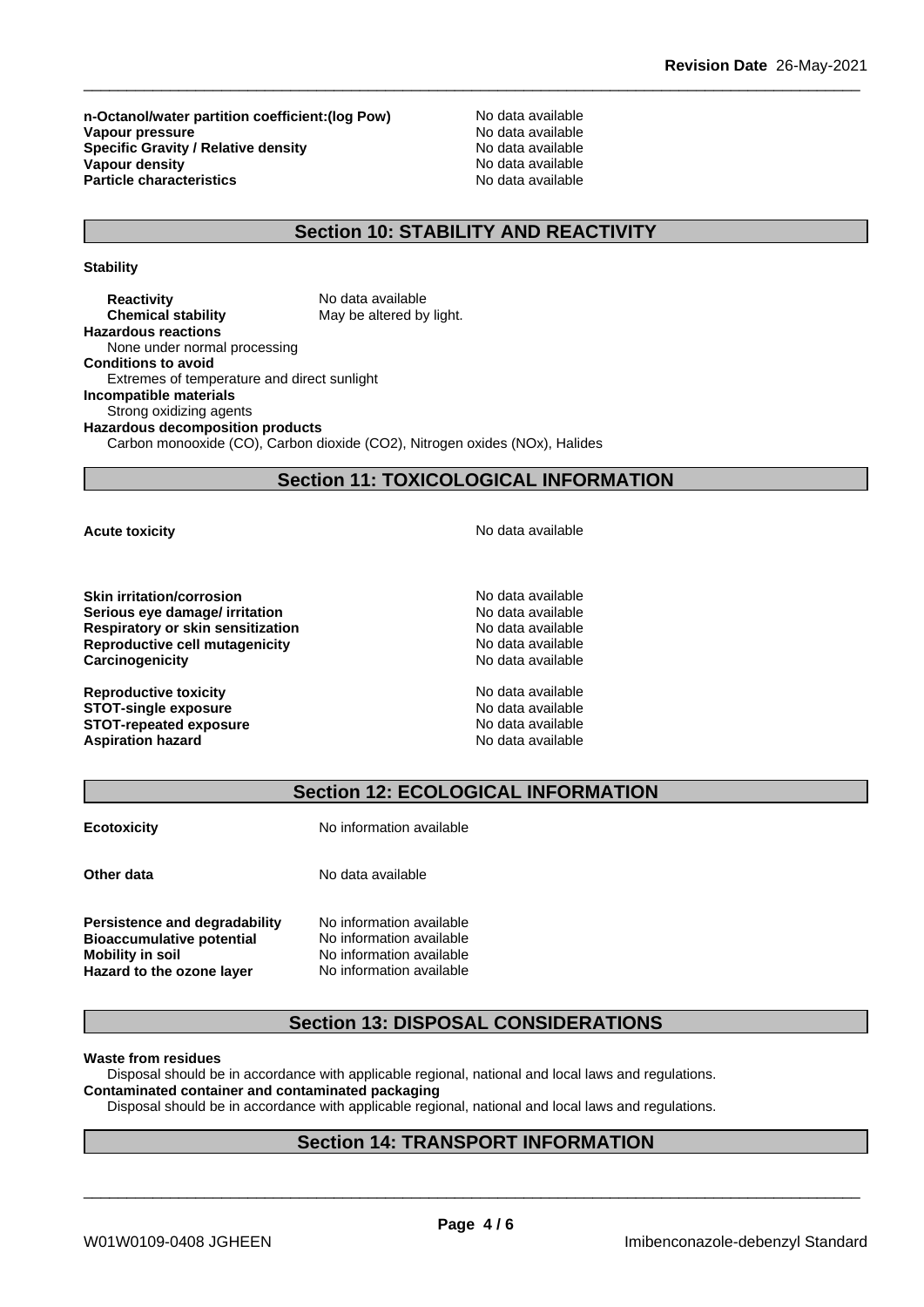**n-Octanol/water partition coefficient:(log Pow)** No data available<br>
Vanour pressure<br>
No data available **Vapour pressure**<br> **Specific Gravity / Relative density**<br>
Specific Gravity / Relative density<br>
No data available **Specific Gravity / Relative density Vapour density**<br> **Particle characteristics**<br> **Particle characteristics**<br> **Particle characteristics Particle characteristics** 

# **Section 10: STABILITY AND REACTIVITY**

**Stability**

**Reactivity Reactivity** No data available<br> **Chemical stability** May be altered by May be altered by light. **Hazardous reactions** None under normal processing **Conditions to avoid** Extremes of temperature and direct sunlight **Incompatible materials** Strong oxidizing agents **Hazardous decomposition products** Carbon monooxide (CO), Carbon dioxide (CO2), Nitrogen oxides (NOx), Halides

# **Section 11: TOXICOLOGICAL INFORMATION**

**Skin irritation/corrosion**<br> **Serious eve damage/ irritation**<br> **Serious eve damage/ irritation Serious** eye damage/ irritation **Respiratory or skin sensitization** No data available **Reproductive cell mutagenicity** No data available **Carcinogenicity Carcinogenicity No data available** 

**Reproductive toxicity**  $\qquad \qquad \qquad$  No data available **STOT-single exposure**<br> **STOT-repeated exposure**<br> **STOT-repeated exposure STOT-repeated exposure Aspiration hazard No data available** No data available

**Acute toxicity Acute toxicity Acute has a structure in the structure of**  $\mathbb{R}^n$  **and**  $\mathbb{R}^n$  **<b>No data available** 

# **Section 12: ECOLOGICAL INFORMATION**

**Ecotoxicity No information available** 

**Other data** No data available

**Persistence and degradability** No information available **Bioaccumulative potential** No information available **Mobility** in soil No information available **Hazard to the ozone layer** No information available

# **Section 13: DISPOSAL CONSIDERATIONS**

#### **Waste from residues**

Disposal should be in accordance with applicable regional, national and local laws and regulations.

# **Contaminated container and contaminated packaging**

Disposal should be in accordance with applicable regional, national and local laws and regulations.

## **Section 14: TRANSPORT INFORMATION**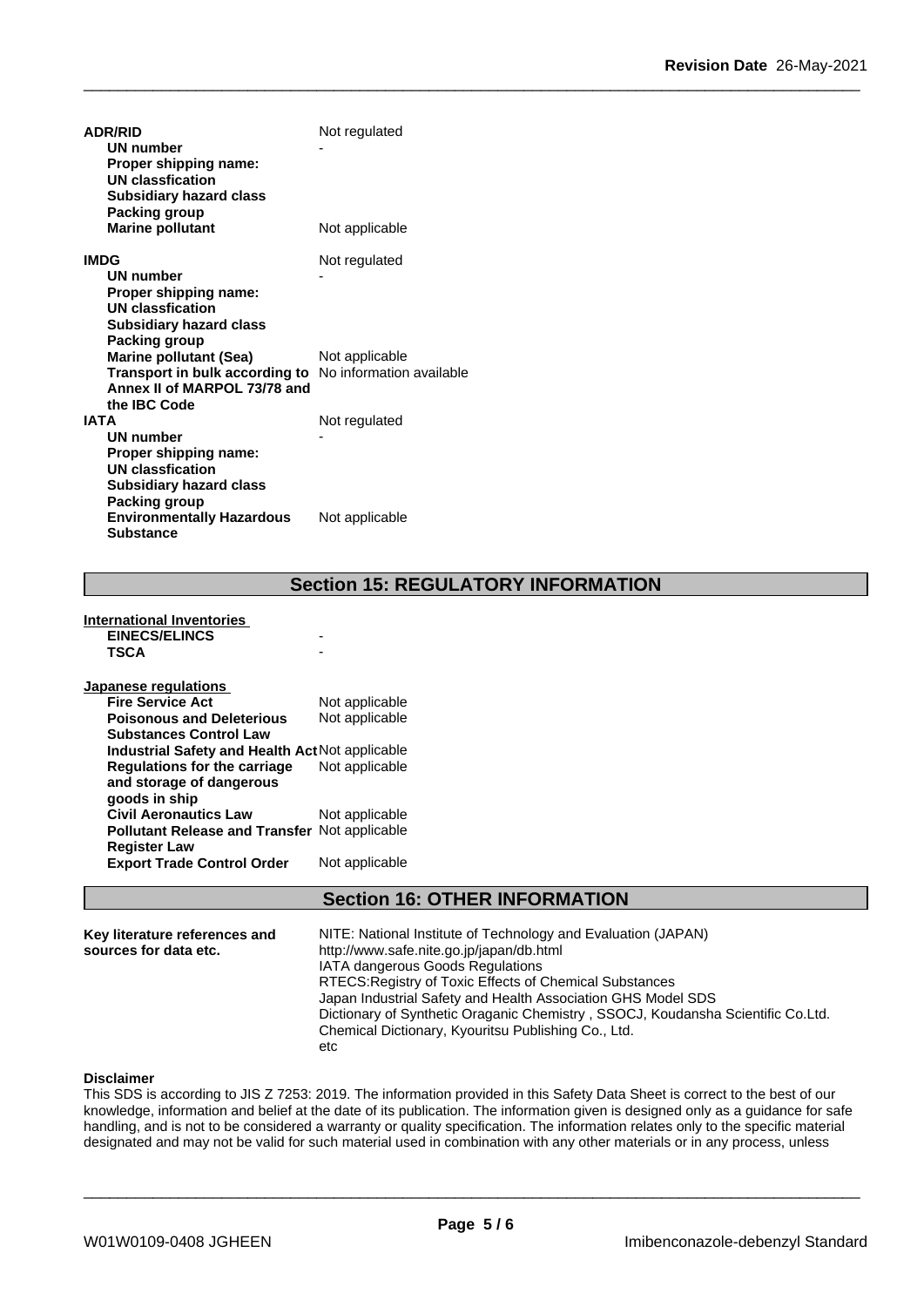| <b>ADR/RID</b>                                                 | Not regulated  |
|----------------------------------------------------------------|----------------|
| UN number                                                      |                |
| Proper shipping name:                                          |                |
| <b>UN classfication</b>                                        |                |
| <b>Subsidiary hazard class</b>                                 |                |
| Packing group                                                  |                |
| <b>Marine pollutant</b>                                        | Not applicable |
| <b>IMDG</b>                                                    | Not regulated  |
| <b>UN number</b>                                               |                |
| Proper shipping name:                                          |                |
| <b>UN classfication</b>                                        |                |
| <b>Subsidiary hazard class</b>                                 |                |
| Packing group                                                  |                |
| <b>Marine pollutant (Sea)</b>                                  | Not applicable |
| <b>Transport in bulk according to</b> No information available |                |
| Annex II of MARPOL 73/78 and                                   |                |
| the IBC Code                                                   |                |
| <b>IATA</b>                                                    | Not regulated  |
| <b>UN number</b>                                               |                |
| Proper shipping name:<br><b>UN classfication</b>               |                |
| <b>Subsidiary hazard class</b>                                 |                |
| Packing group                                                  |                |
| <b>Environmentally Hazardous</b>                               | Not applicable |
| <b>Substance</b>                                               |                |

# **Section 15: REGULATORY INFORMATION**

| International Inventories                            |                |
|------------------------------------------------------|----------------|
| <b>EINECS/ELINCS</b>                                 |                |
| <b>TSCA</b>                                          |                |
| Japanese regulations                                 |                |
| <b>Fire Service Act</b>                              | Not applicable |
| <b>Poisonous and Deleterious</b>                     | Not applicable |
| <b>Substances Control Law</b>                        |                |
| Industrial Safety and Health Act Not applicable      |                |
| Regulations for the carriage                         | Not applicable |
| and storage of dangerous                             |                |
| goods in ship                                        |                |
| <b>Civil Aeronautics Law</b>                         | Not applicable |
| <b>Pollutant Release and Transfer Not applicable</b> |                |
| <b>Register Law</b>                                  |                |
| <b>Export Trade Control Order</b>                    | Not applicable |
|                                                      |                |

# **Section 16: OTHER INFORMATION**

| Key literature references and | NITE: National Institute of Technology and Evaluation (JAPAN)                   |
|-------------------------------|---------------------------------------------------------------------------------|
| sources for data etc.         | http://www.safe.nite.go.jp/japan/db.html                                        |
|                               | <b>IATA dangerous Goods Regulations</b>                                         |
|                               | RTECS: Registry of Toxic Effects of Chemical Substances                         |
|                               | Japan Industrial Safety and Health Association GHS Model SDS                    |
|                               | Dictionary of Synthetic Oraganic Chemistry, SSOCJ, Koudansha Scientific Co.Ltd. |
|                               | Chemical Dictionary, Kyouritsu Publishing Co., Ltd.                             |
|                               | etc                                                                             |

#### **Disclaimer**

This SDS is according to JIS Z 7253: 2019. The information provided in this Safety Data Sheet is correct to the best of our knowledge, information and belief at the date of its publication. The information given is designed only as a guidance for safe handling, and is not to be considered a warranty or quality specification. The information relates only to the specific material designated and may not be valid for such material used in combination with any other materials or in any process, unless